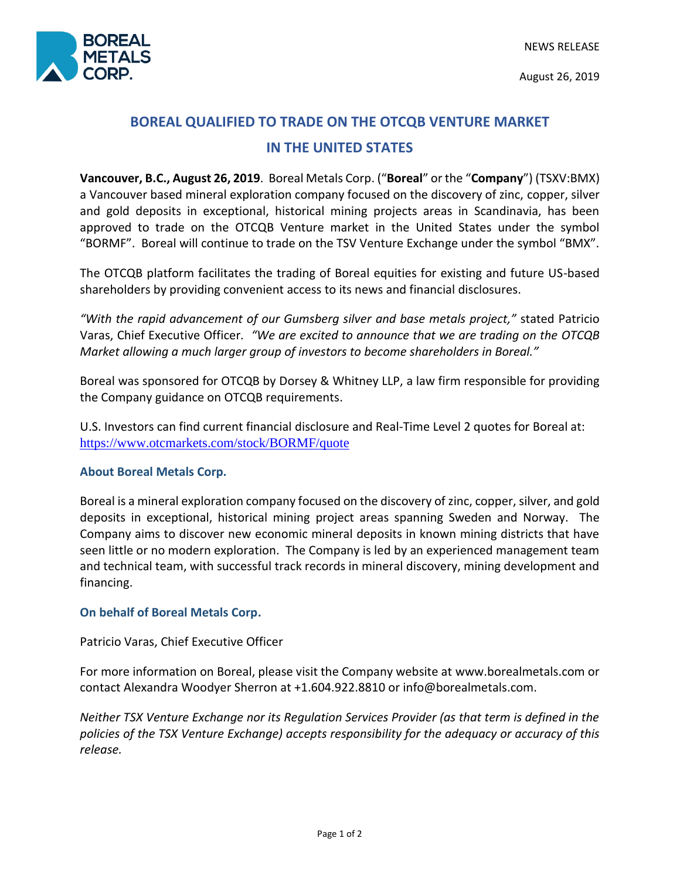August 26, 2019

## **BOREAL QUALIFIED TO TRADE ON THE OTCQB VENTURE MARKET IN THE UNITED STATES**

**Vancouver, B.C., August 26, 2019**. Boreal Metals Corp. ("**Boreal**" or the "**Company**") (TSXV:BMX) a Vancouver based mineral exploration company focused on the discovery of zinc, copper, silver and gold deposits in exceptional, historical mining projects areas in Scandinavia, has been approved to trade on the OTCQB Venture market in the United States under the symbol "BORMF". Boreal will continue to trade on the TSV Venture Exchange under the symbol "BMX".

The OTCQB platform facilitates the trading of Boreal equities for existing and future US-based shareholders by providing convenient access to its news and financial disclosures.

*"With the rapid advancement of our Gumsberg silver and base metals project,"* stated Patricio Varas, Chief Executive Officer*. "We are excited to announce that we are trading on the OTCQB Market allowing a much larger group of investors to become shareholders in Boreal."*

Boreal was sponsored for OTCQB by Dorsey & Whitney LLP, a law firm responsible for providing the Company guidance on OTCQB requirements.

U.S. Investors can find current financial disclosure and Real-Time Level 2 quotes for Boreal at: [https://www.otcmarkets.com/stock/BORMF/quote](https://urldefense.proofpoint.com/v2/url?u=https-3A__www.otcmarkets.com_stock_BORMF_quote&d=DwMGaQ&c=euGZstcaTDllvimEN8b7jXrwqOf-v5A_CdpgnVfiiMM&r=wmmQvMnQLAfAaI8qkYpXGQ6Ysi5mmAT1j8vvgVRFqz8&m=xIFikKaChZZVMvYJ2lMp7u-d5NiFAOEXLO_FamhNCVs&s=5EgBwF_ESKj7tXfPh53m1SDTaK3gF8ASRx4o6c0DyVs&e=)

## **About Boreal Metals Corp.**

Boreal is a mineral exploration company focused on the discovery of zinc, copper, silver, and gold deposits in exceptional, historical mining project areas spanning Sweden and Norway. The Company aims to discover new economic mineral deposits in known mining districts that have seen little or no modern exploration. The Company is led by an experienced management team and technical team, with successful track records in mineral discovery, mining development and financing.

## **On behalf of Boreal Metals Corp.**

Patricio Varas, Chief Executive Officer

For more information on Boreal, please visit the Company website at www.borealmetals.com or contact Alexandra Woodyer Sherron at +1.604.922.8810 or info@borealmetals.com.

*Neither TSX Venture Exchange nor its Regulation Services Provider (as that term is defined in the policies of the TSX Venture Exchange) accepts responsibility for the adequacy or accuracy of this release.*